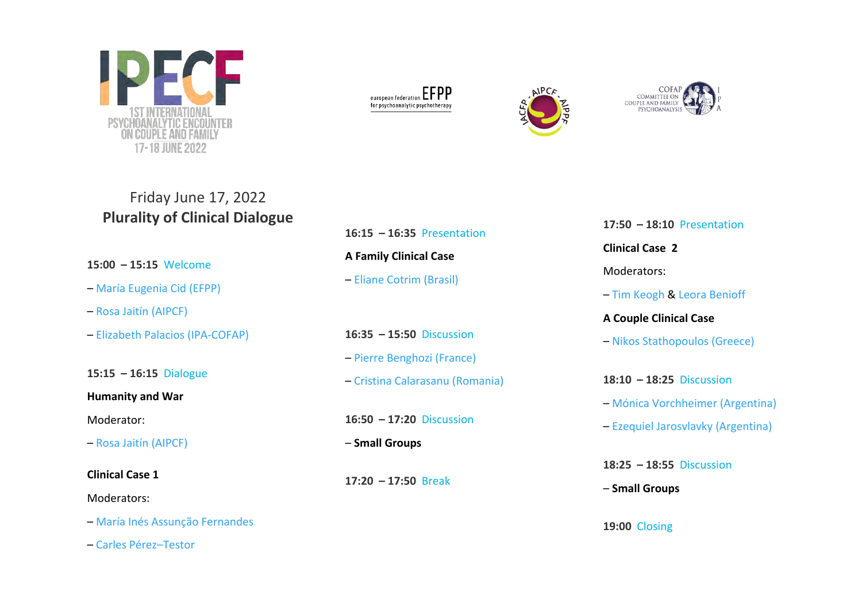

| european federation $\mathsf{EFPP}$ |  |  |
|-------------------------------------|--|--|
| for psychoanalytic psychotherapy    |  |  |





# Friday June 17, 2022 **Plurality of Clinical Dialogue**

**15:00 – 15:15** Welcome

- [María Eugenia Cid](https://www.ipecf.org/en/#cid) (EFPP)
- Rosa Jaitín [\(AIPCF\)](https://www.ipecf.org/en/#jaitin)
- [Elizabeth Palacios](https://www.ipecf.org/en/#palacios) (IPA-COFAP)

**15:15 – 16:15** Dialogue

**Humanity and War**

Moderator:

– Rosa Jaitín [\(AIPCF\)](https://www.ipecf.org/en/#jaitin)

**Clinical Case 1**

Moderators:

– María Inés [Assunção Fernandes](https://www.ipecf.org/en/#fernandes)

– Carles [Pérez–Testor](https://www.ipecf.org/en/#testor)

**16:15 – 16:35** Presentation **A Family Clinical Case** – Eliane Cotrim [\(Brasil\)](https://www.ipecf.org/en/#cotrim)

**16:35 – 15:50** Discussion – [Pierre Benghozi \(France\)](https://www.ipecf.org/en/#benghozi) – Cristina [Calarasanu](https://www.ipecf.org/en/#calarasanu) (Romania)

**16:50 – 17:20** Discussion

– **Small Groups**

**17:20 – 17:50** Break

**17:50 – 18:10** Presentation **Clinical Case 2** Moderators: – Tim [Keogh](https://www.ipecf.org/en/#keogh) & [Leora Benioff](https://www.ipecf.org/en/#benioff) **A Couple Clinical Case** – [Nikos Stathopoulos \(Greece\)](https://www.ipecf.org/en/#stathopoulos) **18:10 – 18:25** Discussion – [Mónica Vorchheimer](https://www.ipecf.org/en/#vorchheimer) (Argentina) – [Ezequiel Jarosvlavky](https://www.ipecf.org/en/#jarosvlavky) (Argentina) **18:25 – 18:55** Discussion – **Small Groups**

**19:00** Closing